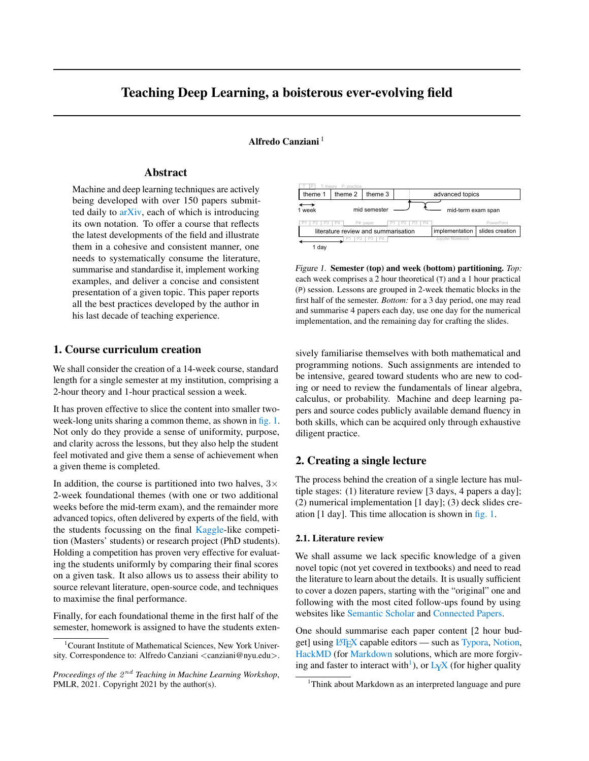# <span id="page-0-0"></span>Teaching Deep Learning, a boisterous ever-evolving field

Alfredo Canziani<sup>1</sup>

## Abstract

Machine and deep learning techniques are actively being developed with over 150 papers submitted daily to [arXiv,](#page-4-0) each of which is introducing its own notation. To offer a course that reflects the latest developments of the field and illustrate them in a cohesive and consistent manner, one needs to systematically consume the literature, summarise and standardise it, implement working examples, and deliver a concise and consistent presentation of a given topic. This paper reports all the best practices developed by the author in his last decade of teaching experience.

# 1. Course curriculum creation

We shall consider the creation of a 14-week course, standard length for a single semester at my institution, comprising a 2-hour theory and 1-hour practical session a week.

It has proven effective to slice the content into smaller twoweek-long units sharing a common theme, as shown in fig. 1. Not only do they provide a sense of uniformity, purpose, and clarity across the lessons, but they also help the student feel motivated and give them a sense of achievement when a given theme is completed.

In addition, the course is partitioned into two halves,  $3\times$ 2-week foundational themes (with one or two additional weeks before the mid-term exam), and the remainder more advanced topics, often delivered by experts of the field, with the students focussing on the final [Kaggle-](#page-4-0)like competition (Masters' students) or research project (PhD students). Holding a competition has proven very effective for evaluating the students uniformly by comparing their final scores on a given task. It also allows us to assess their ability to source relevant literature, open-source code, and techniques to maximise the final performance.

Finally, for each foundational theme in the first half of the semester, homework is assigned to have the students exten-



Figure 1. Semester (top) and week (bottom) partitioning. *Top:* each week comprises a 2 hour theoretical (T) and a 1 hour practical (P) session. Lessons are grouped in 2-week thematic blocks in the first half of the semester. *Bottom:* for a 3 day period, one may read and summarise 4 papers each day, use one day for the numerical implementation, and the remaining day for crafting the slides.

sively familiarise themselves with both mathematical and programming notions. Such assignments are intended to be intensive, geared toward students who are new to coding or need to review the fundamentals of linear algebra, calculus, or probability. Machine and deep learning papers and source codes publicly available demand fluency in both skills, which can be acquired only through exhaustive diligent practice.

# 2. Creating a single lecture

The process behind the creation of a single lecture has multiple stages: (1) literature review [3 days, 4 papers a day]; (2) numerical implementation [1 day]; (3) deck slides creation [1 day]. This time allocation is shown in fig. 1.

#### 2.1. Literature review

We shall assume we lack specific knowledge of a given novel topic (not yet covered in textbooks) and need to read the literature to learn about the details. It is usually sufficient to cover a dozen papers, starting with the "original" one and following with the most cited follow-ups found by using websites like [Semantic Scholar](#page-4-0) and [Connected Papers.](#page-4-0)

One should summarise each paper content [2 hour bud-get] using LAT<sub>E</sub>X capable editors — such as [Typora,](#page-4-0) [Notion,](#page-4-0) [HackMD](#page-4-0) (for [Markdown](#page-4-0) solutions, which are more forgiving and faster to interact with<sup>1</sup>), or  $L_YX$  (for higher quality

<sup>&</sup>lt;sup>1</sup>Courant Institute of Mathematical Sciences, New York University. Correspondence to: Alfredo Canziani <canziani@nyu.edu>.

Proceedings of the  $2^{nd}$  Teaching in Machine Learning Workshop, PMLR, 2021. Copyright 2021 by the author(s).

<sup>&</sup>lt;sup>1</sup>Think about Markdown as an interpreted language and pure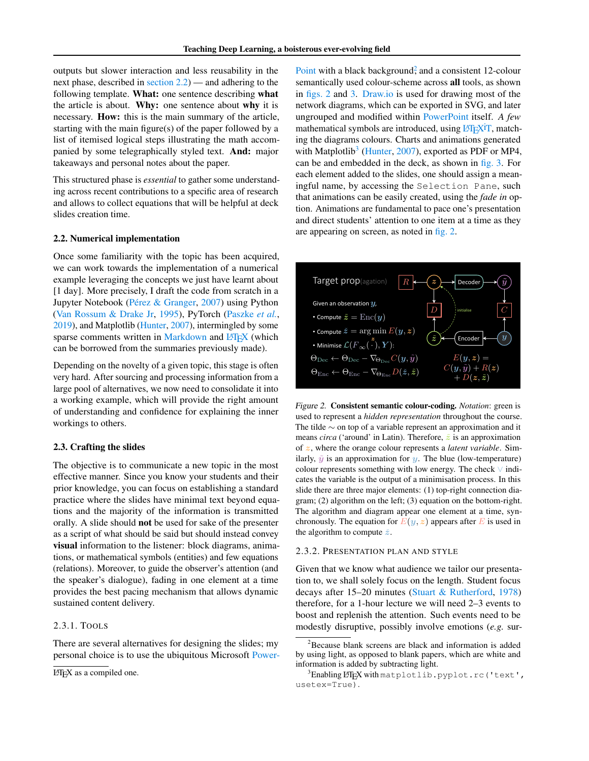<span id="page-1-0"></span>outputs but slower interaction and less reusability in the next phase, described in section 2.2) — and adhering to the following template. What: one sentence describing what the article is about. Why: one sentence about why it is necessary. How: this is the main summary of the article, starting with the main figure(s) of the paper followed by a list of itemised logical steps illustrating the math accompanied by some telegraphically styled text. And: major takeaways and personal notes about the paper.

This structured phase is *essential* to gather some understanding across recent contributions to a specific area of research and allows to collect equations that will be helpful at deck slides creation time.

#### 2.2. Numerical implementation

Once some familiarity with the topic has been acquired, we can work towards the implementation of a numerical example leveraging the concepts we just have learnt about [1 day]. More precisely, I draft the code from scratch in a Jupyter Notebook (Pérez & Granger, [2007\)](#page-4-0) using Python [\(Van Rossum & Drake Jr,](#page-4-0) [1995\)](#page-4-0), PyTorch [\(Paszke](#page-4-0) *et al.*, [2019\)](#page-4-0), and Matplotlib [\(Hunter,](#page-4-0) [2007\)](#page-4-0), intermingled by some sparse comments written in [Markdown](#page-4-0) and LA[TEX](#page-4-0) (which can be borrowed from the summaries previously made).

Depending on the novelty of a given topic, this stage is often very hard. After sourcing and processing information from a large pool of alternatives, we now need to consolidate it into a working example, which will provide the right amount of understanding and confidence for explaining the inner workings to others.

#### 2.3. Crafting the slides

The objective is to communicate a new topic in the most effective manner. Since you know your students and their prior knowledge, you can focus on establishing a standard practice where the slides have minimal text beyond equations and the majority of the information is transmitted orally. A slide should not be used for sake of the presenter as a script of what should be said but should instead convey visual information to the listener: block diagrams, animations, or mathematical symbols (entities) and few equations (relations). Moreover, to guide the observer's attention (and the speaker's dialogue), fading in one element at a time provides the best pacing mechanism that allows dynamic sustained content delivery.

#### 2.3.1. TOOLS

There are several alternatives for designing the slides; my personal choice is to use the ubiquitous Microsoft [Power-](#page-4-0)

[Point](#page-4-0) with a black background<sup>2</sup>, and a consistent 12-colour semantically used colour-scheme across all tools, as shown in figs. 2 and [3.](#page-2-0) [Draw.io](#page-4-0) is used for drawing most of the network diagrams, which can be exported in SVG, and later ungrouped and modified within [PowerPoint](#page-4-0) itself. *A few* mathematical symbols are introduced, using  $\frac{1}{2}$  $\frac{1}{2}$  $\frac{1}{\sqrt{1}}$ , matching the diagrams colours. Charts and animations generated with Matplotlib<sup>3</sup> [\(Hunter,](#page-4-0) [2007\)](#page-4-0), exported as PDF or MP4, can be and embedded in the deck, as shown in [fig. 3.](#page-2-0) For each element added to the slides, one should assign a meaningful name, by accessing the Selection Pane, such that animations can be easily created, using the *fade in* option. Animations are fundamental to pace one's presentation and direct students' attention to one item at a time as they are appearing on screen, as noted in fig. 2.



Figure 2. Consistent semantic colour-coding. *Notation*: green is used to represent a *hidden representation* throughout the course. The tilde ∼ on top of a variable represent an approximation and it means *circa* ('around' in Latin). Therefore,  $\tilde{z}$  is an approximation of z, where the orange colour represents a *latent variable*. Similarly,  $\tilde{y}$  is an approximation for y. The blue (low-temperature) colour represents something with low energy. The check ∨ indicates the variable is the output of a minimisation process. In this slide there are three major elements: (1) top-right connection diagram; (2) algorithm on the left; (3) equation on the bottom-right. The algorithm and diagram appear one element at a time, synchronously. The equation for  $E(y, z)$  appears after E is used in the algorithm to compute  $\check{z}$ .

#### 2.3.2. PRESENTATION PLAN AND STYLE

Given that we know what audience we tailor our presentation to, we shall solely focus on the length. Student focus decays after 15–20 minutes [\(Stuart & Rutherford,](#page-4-0) [1978\)](#page-4-0) therefore, for a 1-hour lecture we will need 2–3 events to boost and replenish the attention. Such events need to be modestly disruptive, possibly involve emotions (*e.g.* sur-

 $LATEX$  as a compiled one.

<sup>&</sup>lt;sup>2</sup>Because blank screens are black and information is added by using light, as opposed to blank papers, which are white and information is added by subtracting light.

 $^3$ Enabling LAT<sub>E</sub>X with matplotlib.pyplot.rc('text', usetex=True).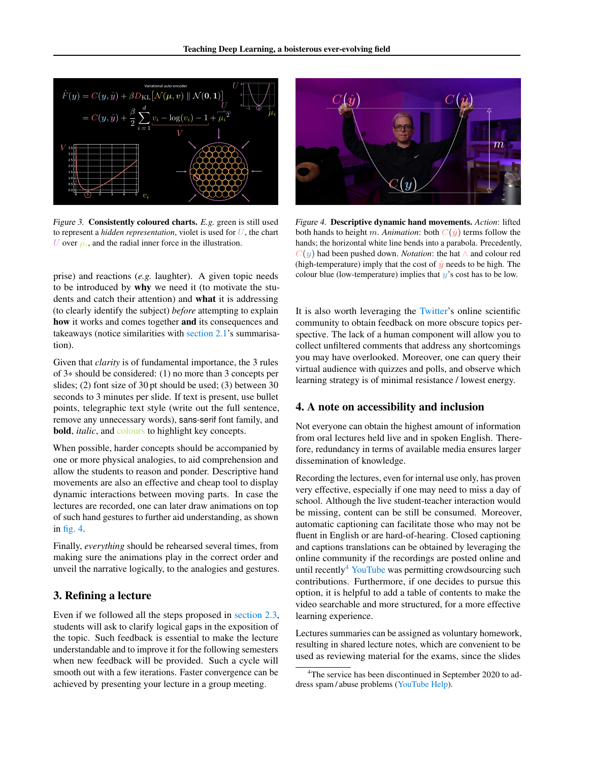<span id="page-2-0"></span>

Figure 3. Consistently coloured charts. *E.g.* green is still used to represent a *hidden representation*, violet is used for  $U$ , the chart U over  $\mu_i$ , and the radial inner force in the illustration.

prise) and reactions (*e.g.* laughter). A given topic needs to be introduced by why we need it (to motivate the students and catch their attention) and what it is addressing (to clearly identify the subject) *before* attempting to explain how it works and comes together and its consequences and takeaways (notice similarities with [section 2.1'](#page-0-0)s summarisation).

Given that *clarity* is of fundamental importance, the 3 rules of 3\* should be considered: (1) no more than 3 concepts per slides; (2) font size of 30 pt should be used; (3) between 30 seconds to 3 minutes per slide. If text is present, use bullet points, telegraphic text style (write out the full sentence, remove any unnecessary words), sans-serif font family, and bold, *italic*, and colours to highlight key concepts.

When possible, harder concepts should be accompanied by one or more physical analogies, to aid comprehension and allow the students to reason and ponder. Descriptive hand movements are also an effective and cheap tool to display dynamic interactions between moving parts. In case the lectures are recorded, one can later draw animations on top of such hand gestures to further aid understanding, as shown in fig. 4.

Finally, *everything* should be rehearsed several times, from making sure the animations play in the correct order and unveil the narrative logically, to the analogies and gestures.

### 3. Refining a lecture

Even if we followed all the steps proposed in [section 2.3,](#page-1-0) students will ask to clarify logical gaps in the exposition of the topic. Such feedback is essential to make the lecture understandable and to improve it for the following semesters when new feedback will be provided. Such a cycle will smooth out with a few iterations. Faster convergence can be achieved by presenting your lecture in a group meeting.



Figure 4. Descriptive dynamic hand movements. *Action*: lifted both hands to height m. Animation: both  $C(\hat{y})$  terms follow the hands; the horizontal white line bends into a parabola. Precedently, C(y) had been pushed down. *Notation*: the hat ∧ and colour red (high-temperature) imply that the cost of  $\hat{y}$  needs to be high. The colour blue (low-temperature) implies that  $y$ 's cost has to be low.

It is also worth leveraging the [Twitter'](#page-4-0)s online scientific community to obtain feedback on more obscure topics perspective. The lack of a human component will allow you to collect unfiltered comments that address any shortcomings you may have overlooked. Moreover, one can query their virtual audience with quizzes and polls, and observe which learning strategy is of minimal resistance / lowest energy.

### 4. A note on accessibility and inclusion

Not everyone can obtain the highest amount of information from oral lectures held live and in spoken English. Therefore, redundancy in terms of available media ensures larger dissemination of knowledge.

Recording the lectures, even for internal use only, has proven very effective, especially if one may need to miss a day of school. Although the live student-teacher interaction would be missing, content can be still be consumed. Moreover, automatic captioning can facilitate those who may not be fluent in English or are hard-of-hearing. Closed captioning and captions translations can be obtained by leveraging the online community if the recordings are posted online and until recently $4$  [YouTube](#page-4-0) was permitting crowdsourcing such contributions. Furthermore, if one decides to pursue this option, it is helpful to add a table of contents to make the video searchable and more structured, for a more effective learning experience.

Lectures summaries can be assigned as voluntary homework, resulting in shared lecture notes, which are convenient to be used as reviewing material for the exams, since the slides

<sup>&</sup>lt;sup>4</sup>The service has been discontinued in September 2020 to address spam / abuse problems [\(YouTube Help\)](#page-4-0).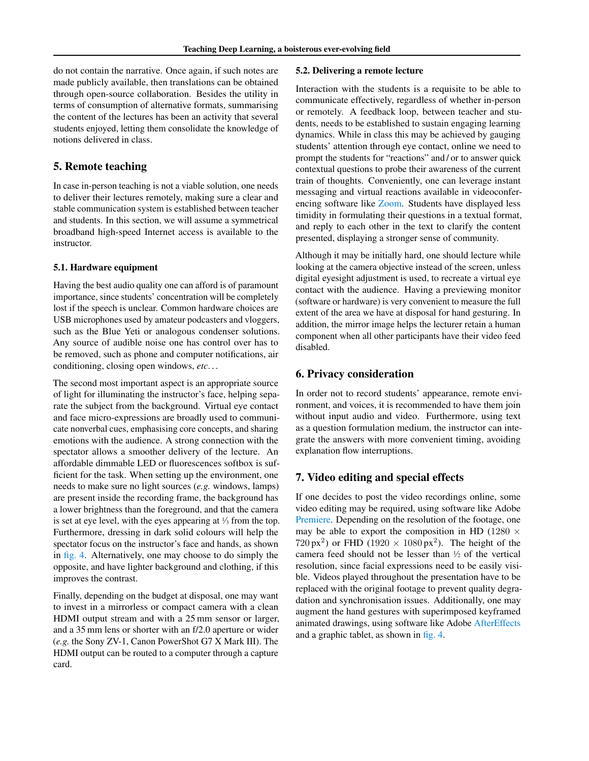do not contain the narrative. Once again, if such notes are made publicly available, then translations can be obtained through open-source collaboration. Besides the utility in terms of consumption of alternative formats, summarising the content of the lectures has been an activity that several students enjoyed, letting them consolidate the knowledge of notions delivered in class.

### 5. Remote teaching

In case in-person teaching is not a viable solution, one needs to deliver their lectures remotely, making sure a clear and stable communication system is established between teacher and students. In this section, we will assume a symmetrical broadband high-speed Internet access is available to the instructor.

#### 5.1. Hardware equipment

Having the best audio quality one can afford is of paramount importance, since students' concentration will be completely lost if the speech is unclear. Common hardware choices are USB microphones used by amateur podcasters and vloggers, such as the Blue Yeti or analogous condenser solutions. Any source of audible noise one has control over has to be removed, such as phone and computer notifications, air conditioning, closing open windows, *etc*. . .

The second most important aspect is an appropriate source of light for illuminating the instructor's face, helping separate the subject from the background. Virtual eye contact and face micro-expressions are broadly used to communicate nonverbal cues, emphasising core concepts, and sharing emotions with the audience. A strong connection with the spectator allows a smoother delivery of the lecture. An affordable dimmable LED or fluorescences softbox is sufficient for the task. When setting up the environment, one needs to make sure no light sources (*e.g.* windows, lamps) are present inside the recording frame, the background has a lower brightness than the foreground, and that the camera is set at eye level, with the eyes appearing at  $\frac{1}{3}$  from the top. Furthermore, dressing in dark solid colours will help the spectator focus on the instructor's face and hands, as shown in [fig. 4.](#page-2-0) Alternatively, one may choose to do simply the opposite, and have lighter background and clothing, if this improves the contrast.

Finally, depending on the budget at disposal, one may want to invest in a mirrorless or compact camera with a clean HDMI output stream and with a 25 mm sensor or larger, and a 35 mm lens or shorter with an f/2.0 aperture or wider (*e.g.* the Sony ZV-1, Canon PowerShot G7 X Mark III). The HDMI output can be routed to a computer through a capture card.

#### 5.2. Delivering a remote lecture

Interaction with the students is a requisite to be able to communicate effectively, regardless of whether in-person or remotely. A feedback loop, between teacher and students, needs to be established to sustain engaging learning dynamics. While in class this may be achieved by gauging students' attention through eye contact, online we need to prompt the students for "reactions" and / or to answer quick contextual questions to probe their awareness of the current train of thoughts. Conveniently, one can leverage instant messaging and virtual reactions available in videoconferencing software like [Zoom.](#page-4-0) Students have displayed less timidity in formulating their questions in a textual format, and reply to each other in the text to clarify the content presented, displaying a stronger sense of community.

Although it may be initially hard, one should lecture while looking at the camera objective instead of the screen, unless digital eyesight adjustment is used, to recreate a virtual eye contact with the audience. Having a previewing monitor (software or hardware) is very convenient to measure the full extent of the area we have at disposal for hand gesturing. In addition, the mirror image helps the lecturer retain a human component when all other participants have their video feed disabled.

### 6. Privacy consideration

In order not to record students' appearance, remote environment, and voices, it is recommended to have them join without input audio and video. Furthermore, using text as a question formulation medium, the instructor can integrate the answers with more convenient timing, avoiding explanation flow interruptions.

## 7. Video editing and special effects

If one decides to post the video recordings online, some video editing may be required, using software like Adobe [Premiere.](#page-4-0) Depending on the resolution of the footage, one may be able to export the composition in HD (1280  $\times$  $(720 \text{ px}^2)$  or FHD  $(1920 \times 1080 \text{ px}^2)$ . The height of the camera feed should not be lesser than  $\frac{1}{2}$  of the vertical resolution, since facial expressions need to be easily visible. Videos played throughout the presentation have to be replaced with the original footage to prevent quality degradation and synchronisation issues. Additionally, one may augment the hand gestures with superimposed keyframed animated drawings, using software like Adobe [AfterEffects](#page-4-0) and a graphic tablet, as shown in [fig. 4.](#page-2-0)